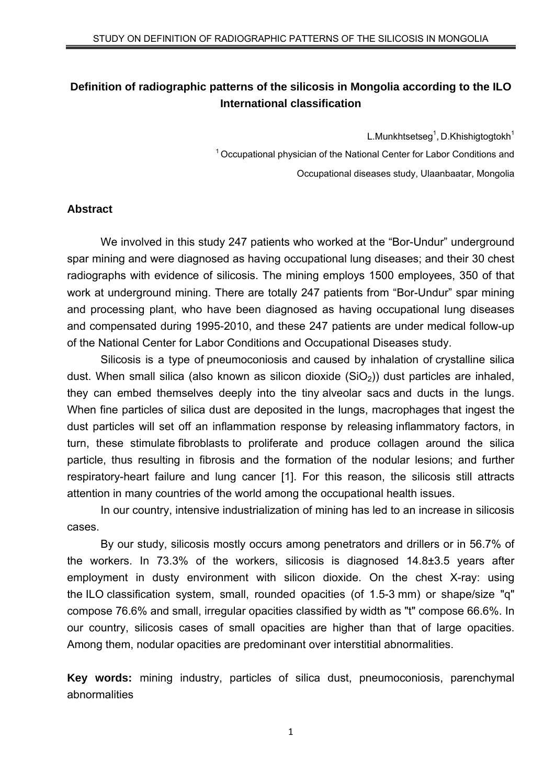# **Definition of radiographic patterns of the silicosis in Mongolia according to the ILO International classification**

L.Munkhtsetseg $<sup>1</sup>$ , D.Khishigtogtokh $<sup>1</sup>$ </sup></sup>

<sup>1</sup> Occupational physician of the National Center for Labor Conditions and Occupational diseases study, Ulaanbaatar, Mongolia

#### **Abstract**

We involved in this study 247 patients who worked at the "Bor-Undur" underground spar mining and were diagnosed as having occupational lung diseases; and their 30 chest radiographs with evidence of silicosis. The mining employs 1500 employees, 350 of that work at underground mining. There are totally 247 patients from "Bor-Undur" spar mining and processing plant, who have been diagnosed as having occupational lung diseases and compensated during 1995-2010, and these 247 patients are under medical follow-up of the National Center for Labor Conditions and Occupational Diseases study.

Silicosis is a type of pneumoconiosis and caused by inhalation of crystalline silica dust. When small silica (also known as silicon dioxide  $(SiO<sub>2</sub>)$ ) dust particles are inhaled, they can embed themselves deeply into the tiny alveolar sacs and ducts in the lungs. When fine particles of silica dust are deposited in the lungs, macrophages that ingest the dust particles will set off an inflammation response by releasing inflammatory factors, in turn, these stimulate fibroblasts to proliferate and produce collagen around the silica particle, thus resulting in fibrosis and the formation of the nodular lesions; and further respiratory-heart failure and lung cancer [1]. For this reason, the silicosis still attracts attention in many countries of the world among the occupational health issues.

In our country, intensive industrialization of mining has led to an increase in silicosis cases.

By our study, silicosis mostly occurs among penetrators and drillers or in 56.7% of the workers. In 73.3% of the workers, silicosis is diagnosed 14.8±3.5 years after employment in dusty environment with silicon dioxide. On the chest X-ray: using the ILO classification system, small, rounded opacities (of 1.5-3 mm) or shape/size "q" compose 76.6% and small, irregular opacities classified by width as "t" compose 66.6%. In our country, silicosis cases of small opacities are higher than that of large opacities. Among them, nodular opacities are predominant over interstitial abnormalities.

**Key words:** mining industry, particles of silica dust, pneumoconiosis, parenchymal abnormalities

1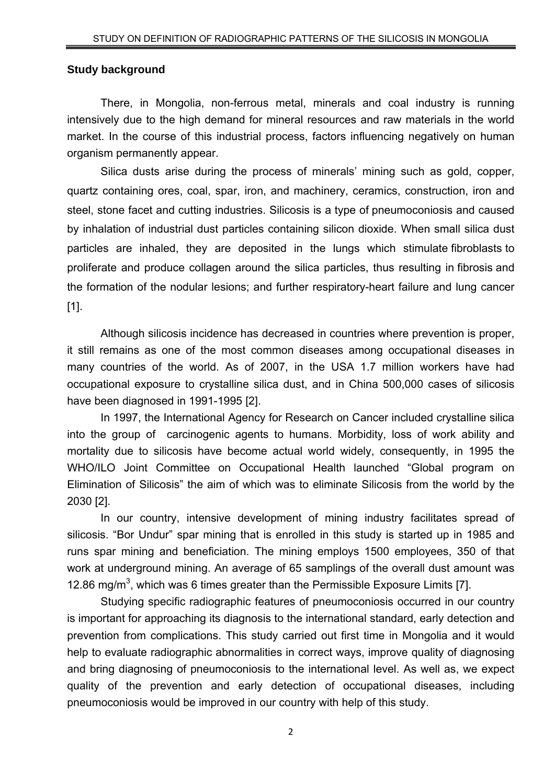#### **Study background**

There, in Mongolia, non-ferrous metal, minerals and coal industry is running intensively due to the high demand for mineral resources and raw materials in the world market. In the course of this industrial process, factors influencing negatively on human organism permanently appear.

Silica dusts arise during the process of minerals' mining such as gold, copper, quartz containing ores, coal, spar, iron, and machinery, ceramics, construction, iron and steel, stone facet and cutting industries. Silicosis is a type of pneumoconiosis and caused by inhalation of industrial dust particles containing silicon dioxide. When small silica dust particles are inhaled, they are deposited in the lungs which stimulate fibroblasts to proliferate and produce collagen around the silica particles, thus resulting in fibrosis and the formation of the nodular lesions; and further respiratory-heart failure and lung cancer [1].

Although silicosis incidence has decreased in countries where prevention is proper, it still remains as one of the most common diseases among occupational diseases in many countries of the world. As of 2007, in the USA 1.7 million workers have had occupational exposure to crystalline silica dust, and in China 500,000 cases of silicosis have been diagnosed in 1991-1995 [2].

In 1997, the International Agency for Research on Cancer included crystalline silica into the group of carcinogenic agents to humans. Morbidity, loss of work ability and mortality due to silicosis have become actual world widely, consequently, in 1995 the WHO/ILO Joint Committee on Occupational Health launched "Global program on Elimination of Silicosis" the aim of which was to eliminate Silicosis from the world by the 2030 [2].

In our country, intensive development of mining industry facilitates spread of silicosis. "Bor Undur" spar mining that is enrolled in this study is started up in 1985 and runs spar mining and beneficiation. The mining employs 1500 employees, 350 of that work at underground mining. An average of 65 samplings of the overall dust amount was 12.86 mg/m<sup>3</sup>, which was 6 times greater than the Permissible Exposure Limits [7].

Studying specific radiographic features of pneumoconiosis occurred in our country is important for approaching its diagnosis to the international standard, early detection and prevention from complications. This study carried out first time in Mongolia and it would help to evaluate radiographic abnormalities in correct ways, improve quality of diagnosing and bring diagnosing of pneumoconiosis to the international level. As well as, we expect quality of the prevention and early detection of occupational diseases, including pneumoconiosis would be improved in our country with help of this study.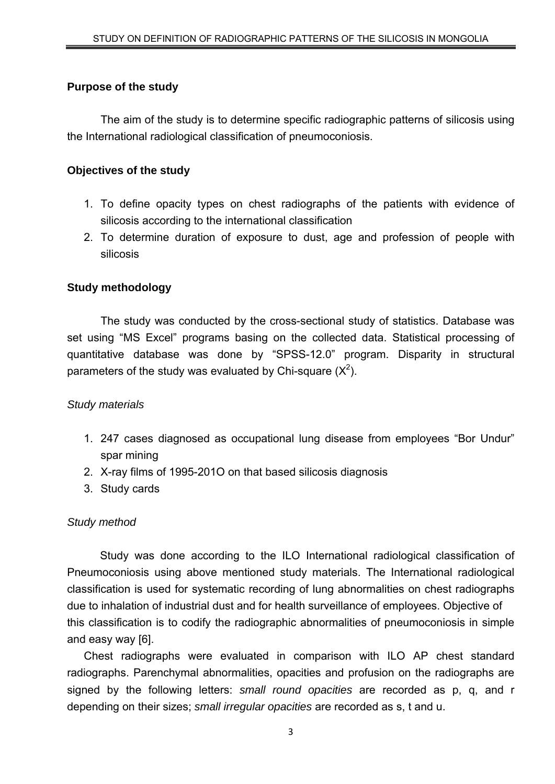#### **Purpose of the study**

The aim of the study is to determine specific radiographic patterns of silicosis using the International radiological classification of pneumoconiosis.

### **Objectives of the study**

- 1. To define opacity types on chest radiographs of the patients with evidence of silicosis according to the international classification
- 2. To determine duration of exposure to dust, age and profession of people with silicosis

### **Study methodology**

The study was conducted by the cross-sectional study of statistics. Database was set using "MS Excel" programs basing on the collected data. Statistical processing of quantitative database was done by "SPSS-12.0" program. Disparity in structural parameters of the study was evaluated by Chi-square  $(X^2)$ .

#### *Study materials*

- 1. 247 cases diagnosed as occupational lung disease from employees "Bor Undur" spar mining
- 2. X-ray films of 1995-201O on that based silicosis diagnosis
- 3. Study cards

#### *Study method*

Study was done according to the ILO International radiological classification of Pneumoconiosis using above mentioned study materials. The International radiological classification is used for systematic recording of lung abnormalities on chest radiographs due to inhalation of industrial dust and for health surveillance of employees. Objective of this classification is to codify the radiographic abnormalities of pneumoconiosis in simple and easy way [6].

Chest radiographs were evaluated in comparison with ILO AP chest standard radiographs. Parenchymal abnormalities, opacities and profusion on the radiographs are signed by the following letters: *small round opacities* are recorded as p, q, and r depending on their sizes; *small irregular opacities* are recorded as s, t and u.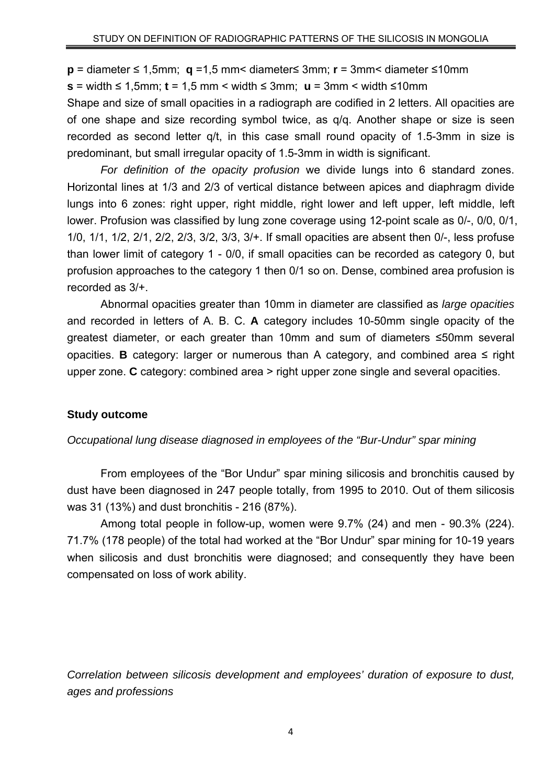**p** = diameter ≤ 1,5mm; **q** =1,5 mm< diameter≤ 3mm; **r** = 3mm< diameter ≤10mm

**s** = width ≤ 1,5mm; **t** = 1,5 mm < width ≤ 3mm; **u** = 3mm < width ≤10mm

Shape and size of small opacities in a radiograph are codified in 2 letters. All opacities are of one shape and size recording symbol twice, as q/q. Another shape or size is seen recorded as second letter q/t, in this case small round opacity of 1.5-3mm in size is predominant, but small irregular opacity of 1.5-3mm in width is significant.

*For definition of the opacity profusion* we divide lungs into 6 standard zones. Horizontal lines at 1/3 and 2/3 of vertical distance between apices and diaphragm divide lungs into 6 zones; right upper, right middle, right lower and left upper, left middle, left lower. Profusion was classified by lung zone coverage using 12-point scale as 0/-, 0/0, 0/1, 1/0, 1/1, 1/2, 2/1, 2/2, 2/3, 3/2, 3/3, 3/+. If small opacities are absent then 0/-, less profuse than lower limit of category 1 - 0/0, if small opacities can be recorded as category 0, but profusion approaches to the category 1 then 0/1 so on. Dense, combined area profusion is recorded as 3/+.

Abnormal opacities greater than 10mm in diameter are classified as *large opacities* and recorded in letters of A. B. C. **A** category includes 10-50mm single opacity of the greatest diameter, or each greater than 10mm and sum of diameters ≤50mm several opacities. **B** category: larger or numerous than A category, and combined area ≤ right upper zone. **C** category: combined area > right upper zone single and several opacities.

#### **Study outcome**

#### *Occupational lung disease diagnosed in employees of the "Bur-Undur" spar mining*

From employees of the "Bor Undur" spar mining silicosis and bronchitis caused by dust have been diagnosed in 247 people totally, from 1995 to 2010. Out of them silicosis was 31 (13%) and dust bronchitis - 216 (87%).

Among total people in follow-up, women were 9.7% (24) and men - 90.3% (224). 71.7% (178 people) of the total had worked at the "Bor Undur" spar mining for 10-19 years when silicosis and dust bronchitis were diagnosed; and consequently they have been compensated on loss of work ability.

*Correlation between silicosis development and employees' duration of exposure to dust, ages and professions*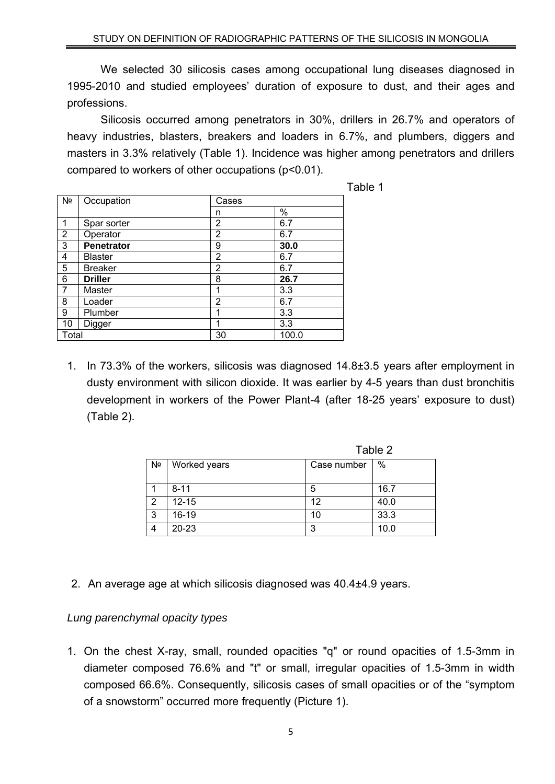We selected 30 silicosis cases among occupational lung diseases diagnosed in 1995-2010 and studied employees' duration of exposure to dust, and their ages and professions.

Silicosis occurred among penetrators in 30%, drillers in 26.7% and operators of heavy industries, blasters, breakers and loaders in 6.7%, and plumbers, diggers and masters in 3.3% relatively (Table 1). Incidence was higher among penetrators and drillers compared to workers of other occupations (p<0.01).

| able |  |
|------|--|
|      |  |

|                |                   |                |       | Table 1 |
|----------------|-------------------|----------------|-------|---------|
| N <sub>2</sub> | Occupation        | Cases          |       |         |
|                |                   | n              | %     |         |
|                | Spar sorter       | 2              | 6.7   |         |
| $\overline{2}$ | Operator          | $\overline{2}$ | 6.7   |         |
| 3              | <b>Penetrator</b> | 9              | 30.0  |         |
| 4              | <b>Blaster</b>    | 2              | 6.7   |         |
| 5              | <b>Breaker</b>    | 2              | 6.7   |         |
| 6              | <b>Driller</b>    | 8              | 26.7  |         |
| 7              | Master            | 1              | 3.3   |         |
| 8              | Loader            | 2              | 6.7   |         |
| 9              | Plumber           | и              | 3.3   |         |
| 10             | Digger            | 1              | 3.3   |         |
| Total          |                   | 30             | 100.0 |         |

1. In 73.3% of the workers, silicosis was diagnosed 14.8±3.5 years after employment in dusty environment with silicon dioxide. It was earlier by 4-5 years than dust bronchitis development in workers of the Power Plant-4 (after 18-25 years' exposure to dust) (Table 2).

|    |              | Table 2     |      |  |
|----|--------------|-------------|------|--|
| Nº | Worked years | Case number | $\%$ |  |
|    | $8 - 11$     | 5           | 16.7 |  |
| っ  | $12 - 15$    | 12          | 40.0 |  |
| 3  | 16-19        | 10          | 33.3 |  |
| 4  | 20-23        | 3           | 10.0 |  |

2. An average age at which silicosis diagnosed was 40.4±4.9 years.

## *Lung parenchymal opacity types*

1. On the chest X-ray, small, rounded opacities "q" or round opacities of 1.5-3mm in diameter composed 76.6% and "t" or small, irregular opacities of 1.5-3mm in width composed 66.6%. Consequently, silicosis cases of small opacities or of the "symptom of a snowstorm" occurred more frequently (Picture 1).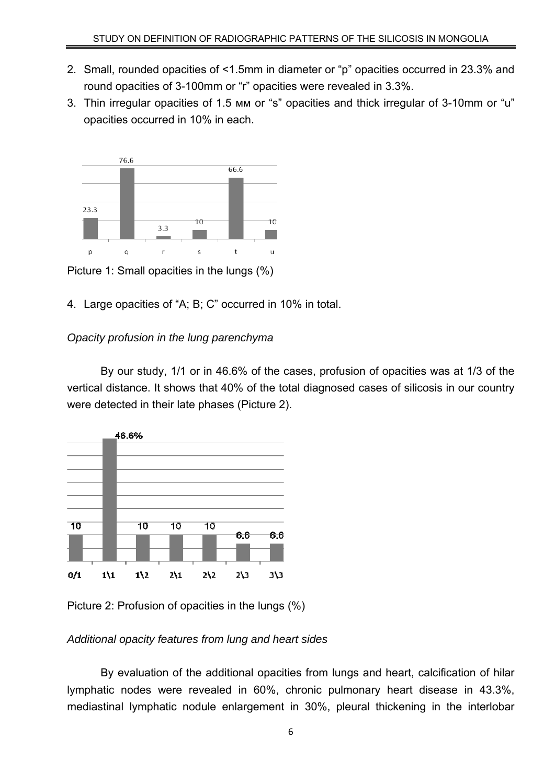- 2. Small, rounded opacities of <1.5mm in diameter or "p" opacities occurred in 23.3% and round opacities of 3-100mm or "r" opacities were revealed in 3.3%.
- 3. Thin irregular opacities of 1.5 мм or "s" opacities and thick irregular of 3-10mm or "u" opacities occurred in 10% in each.



Picture 1: Small opacities in the lungs (%)

4. Large opacities of "A; B; C" occurred in 10% in total.

# *Opacity profusion in the lung parenchyma*

By our study, 1/1 or in 46.6% of the cases, profusion of opacities was at 1/3 of the vertical distance. It shows that 40% of the total diagnosed cases of silicosis in our country were detected in their late phases (Picture 2).



Picture 2: Profusion of opacities in the lungs (%)

## *Additional opacity features from lung and heart sides*

By evaluation of the additional opacities from lungs and heart, calcification of hilar lymphatic nodes were revealed in 60%, chronic pulmonary heart disease in 43.3%, mediastinal lymphatic nodule enlargement in 30%, pleural thickening in the interlobar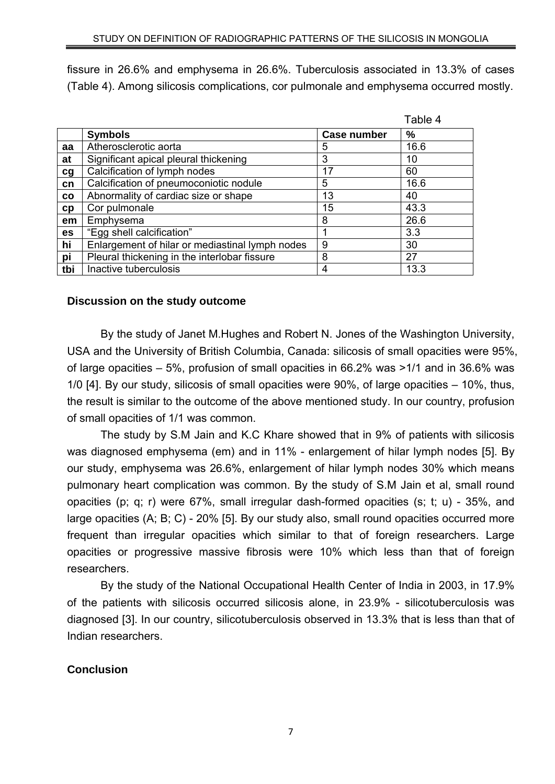fissure in 26.6% and emphysema in 26.6%. Tuberculosis associated in 13.3% of cases (Table 4). Among silicosis complications, cor pulmonale and emphysema occurred mostly.

|     |                                                 |                    | Table 4 |
|-----|-------------------------------------------------|--------------------|---------|
|     | <b>Symbols</b>                                  | <b>Case number</b> | %       |
| aa  | Atherosclerotic aorta                           | 5                  | 16.6    |
| at  | Significant apical pleural thickening           | 3                  | 10      |
| cg  | Calcification of lymph nodes                    | 17                 | 60      |
| cn  | Calcification of pneumoconiotic nodule          | 5                  | 16.6    |
| CO  | Abnormality of cardiac size or shape            | 13                 | 40      |
| cp  | Cor pulmonale                                   | 15                 | 43.3    |
| em  | Emphysema                                       | 8                  | 26.6    |
| es  | "Egg shell calcification"                       |                    | 3.3     |
| hi  | Enlargement of hilar or mediastinal lymph nodes | 9                  | 30      |
| pi  | Pleural thickening in the interlobar fissure    | 8                  | 27      |
| tbi | Inactive tuberculosis                           | 4                  | 13.3    |

## **Discussion on the study outcome**

By the study of Janet M.Hughes and Robert N. Jones of the Washington University, USA and the University of British Columbia, Canada: silicosis of small opacities were 95%, of large opacities – 5%, profusion of small opacities in 66.2% was >1/1 and in 36.6% was 1/0 [4]. By our study, silicosis of small opacities were 90%, of large opacities – 10%, thus, the result is similar to the outcome of the above mentioned study. In our country, profusion of small opacities of 1/1 was common.

 The study by S.M Jain and K.C Khare showed that in 9% of patients with silicosis was diagnosed emphysema (em) and in 11% - enlargement of hilar lymph nodes [5]. By our study, emphysema was 26.6%, enlargement of hilar lymph nodes 30% which means pulmonary heart complication was common. By the study of S.M Jain et al, small round opacities (p; q; r) were 67%, small irregular dash-formed opacities (s; t; u) - 35%, and large opacities (A; B; C) - 20% [5]. By our study also, small round opacities occurred more frequent than irregular opacities which similar to that of foreign researchers. Large opacities or progressive massive fibrosis were 10% which less than that of foreign researchers.

 By the study of the National Occupational Health Center of India in 2003, in 17.9% of the patients with silicosis occurred silicosis alone, in 23.9% - silicotuberculosis was diagnosed [3]. In our country, silicotuberculosis observed in 13.3% that is less than that of Indian researchers.

## **Conclusion**